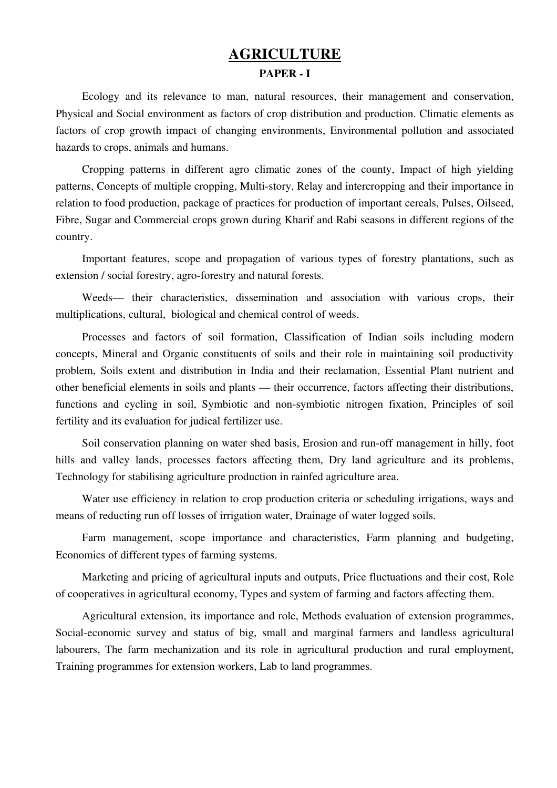## **AGRICULTURE** PAPER - I

Ecology and its relevance to man, natural resources, their management and conservation, Physical and Social environment as factors of crop distribution and production. Climatic elements as factors of crop growth impact of changing environments, Environmental pollution and associated hazards to crops, animals and humans.

Cropping patterns in different agro climatic zones of the county, Impact of high yielding patterns, Concepts of multiple cropping, Multi-story, Relay and intercropping and their importance in relation to food production, package of practices for production of important cereals, Pulses, Oilseed, Fibre, Sugar and Commercial crops grown during Kharif and Rabi seasons in different regions of the country.

Important features, scope and propagation of various types of forestry plantations, such as extension / social forestry, agro-forestry and natural forests.

Weeds— their characteristics, dissemination and association with various crops, their multiplications, cultural, biological and chemical control of weeds.

Processes and factors of soil formation, Classification of Indian soils including modern concepts, Mineral and Organic constituents of soils and their role in maintaining soil productivity problem, Soils extent and distribution in India and their reclamation, Essential Plant nutrient and other beneficial elements in soils and plants — their occurrence, factors affecting their distributions, functions and cycling in soil, Symbiotic and non-symbiotic nitrogen fixation, Principles of soil fertility and its evaluation for judical fertilizer use.

Soil conservation planning on water shed basis, Erosion and run-off management in hilly, foot hills and valley lands, processes factors affecting them, Dry land agriculture and its problems, Technology for stabilising agriculture production in rainfed agriculture area.

Water use efficiency in relation to crop production criteria or scheduling irrigations, ways and means of reducting run off losses of irrigation water, Drainage of water logged soils.

Farm management, scope importance and characteristics, Farm planning and budgeting, Economics of different types of farming systems.

Marketing and pricing of agricultural inputs and outputs, Price fluctuations and their cost, Role of cooperatives in agricultural economy, Types and system of farming and factors affecting them.

Agricultural extension, its importance and role, Methods evaluation of extension programmes, Social-economic survey and status of big, small and marginal farmers and landless agricultural labourers, The farm mechanization and its role in agricultural production and rural employment, Training programmes for extension workers, Lab to land programmes.